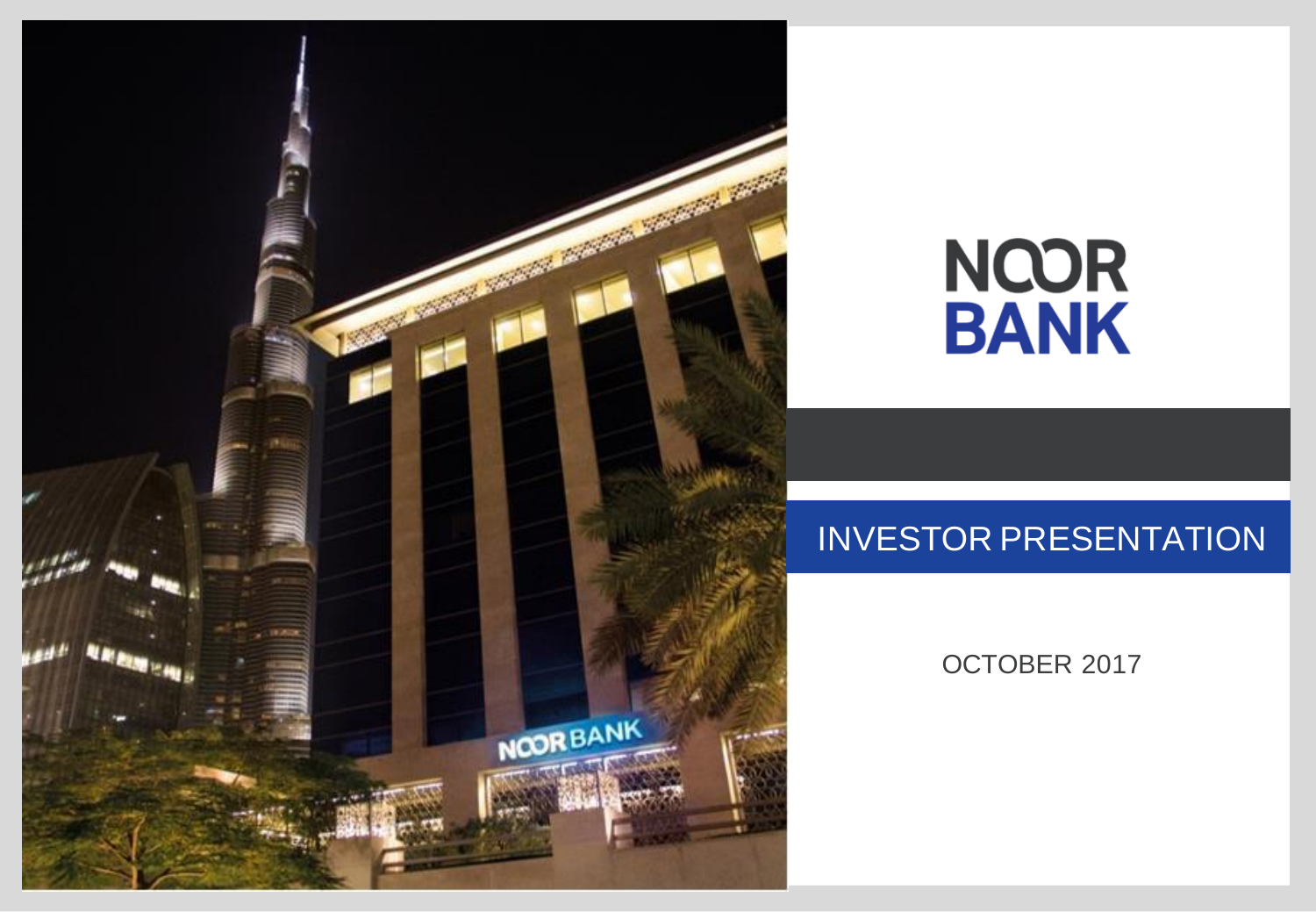

# **NOOR<br>BANK**

# INVESTOR PRESENTATION

OCTOBER 2017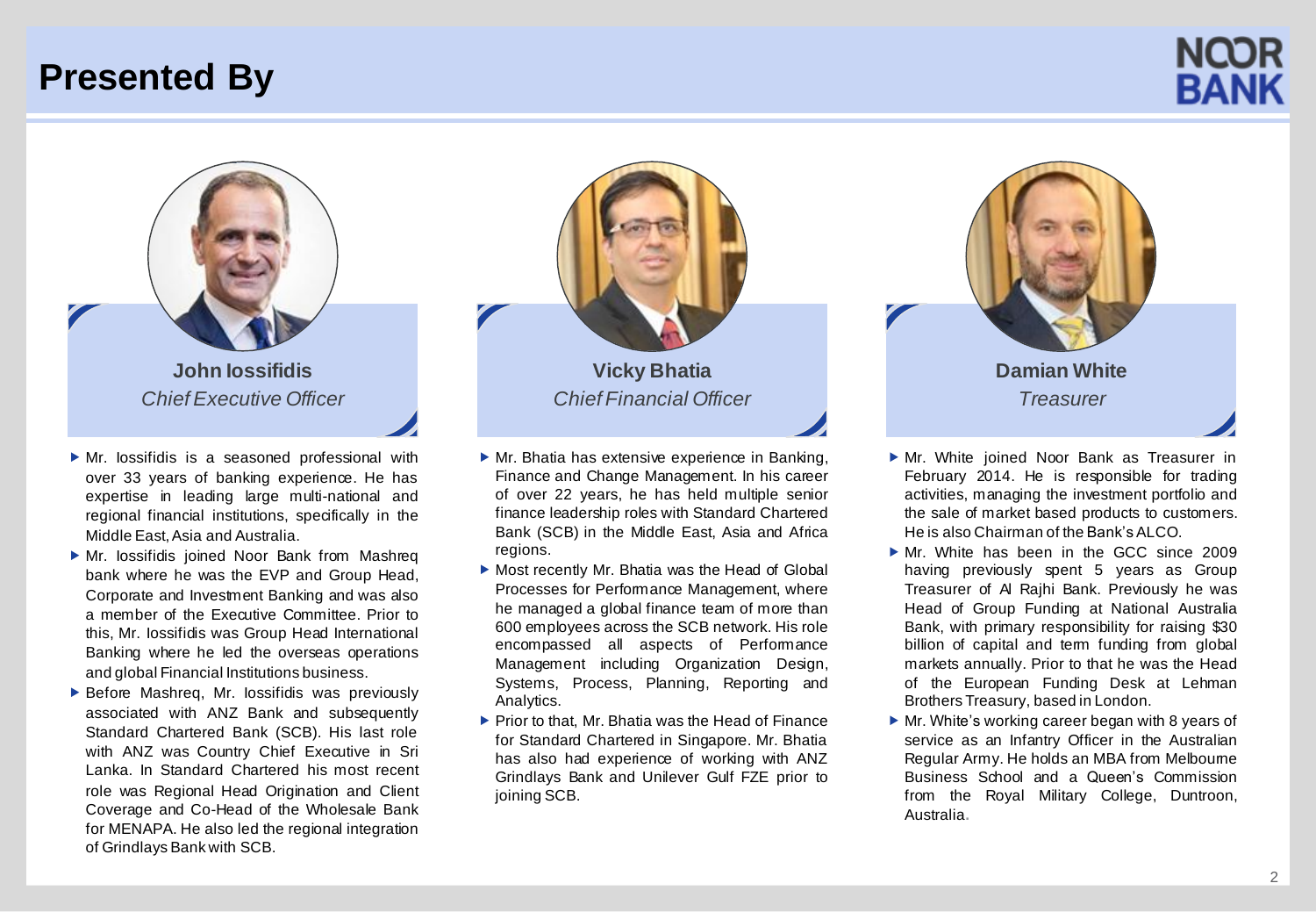## **Presented By**





- Mr. Iossifidis is a seasoned professional with over 33 years of banking experience. He has expertise in leading large multi-national and regional financial institutions, specifically in the Middle East, Asia and Australia.
- Mr. Iossifidis joined Noor Bank from Mashreq bank where he was the EVP and Group Head, Corporate and Investment Banking and was also a member of the Executive Committee. Prior to this, Mr. Iossifidis was Group Head International Banking where he led the overseas operations and global Financial Institutions business.
- $\blacktriangleright$  Before Mashreq, Mr. lossifidis was previously associated with ANZ Bank and subsequently Standard Chartered Bank (SCB). His last role with ANZ was Country Chief Executive in Sri Lanka. In Standard Chartered his most recent role was Regional Head Origination and Client Coverage and Co-Head of the Wholesale Bank for MENAPA. He also led the regional integration of Grindlays Bank with SCB.



- $\triangleright$  Mr. Bhatia has extensive experience in Banking. Finance and Change Management. In his career of over 22 years, he has held multiple senior finance leadership roles with Standard Chartered Bank (SCB) in the Middle East, Asia and Africa regions.
- Most recently Mr. Bhatia was the Head of Global Processes for Performance Management, where he managed a global finance team of more than 600 employees across the SCB network. His role encompassed all aspects of Performance Management including Organization Design, Systems, Process, Planning, Reporting and Analytics.
- $\blacktriangleright$  Prior to that, Mr. Bhatia was the Head of Finance for Standard Chartered in Singapore. Mr. Bhatia has also had experience of working with ANZ Grindlays Bank and Unilever Gulf FZE prior to joining SCB.



- Mr. White joined Noor Bank as Treasurer in February 2014. He is responsible for trading activities, managing the investment portfolio and the sale of market based products to customers. He is also Chairman of the Bank's ALCO.
- Mr. White has been in the GCC since 2009 having previously spent 5 years as Group Treasurer of Al Rajhi Bank. Previously he was Head of Group Funding at National Australia Bank, with primary responsibility for raising \$30 billion of capital and term funding from global markets annually. Prior to that he was the Head of the European Funding Desk at Lehman Brothers Treasury, based in London.
- ▶ Mr. White's working career began with 8 years of service as an Infantry Officer in the Australian Regular Army. He holds an MBA from Melbourne Business School and a Queen's Commission from the Royal Military College, Duntroon, Australia**.**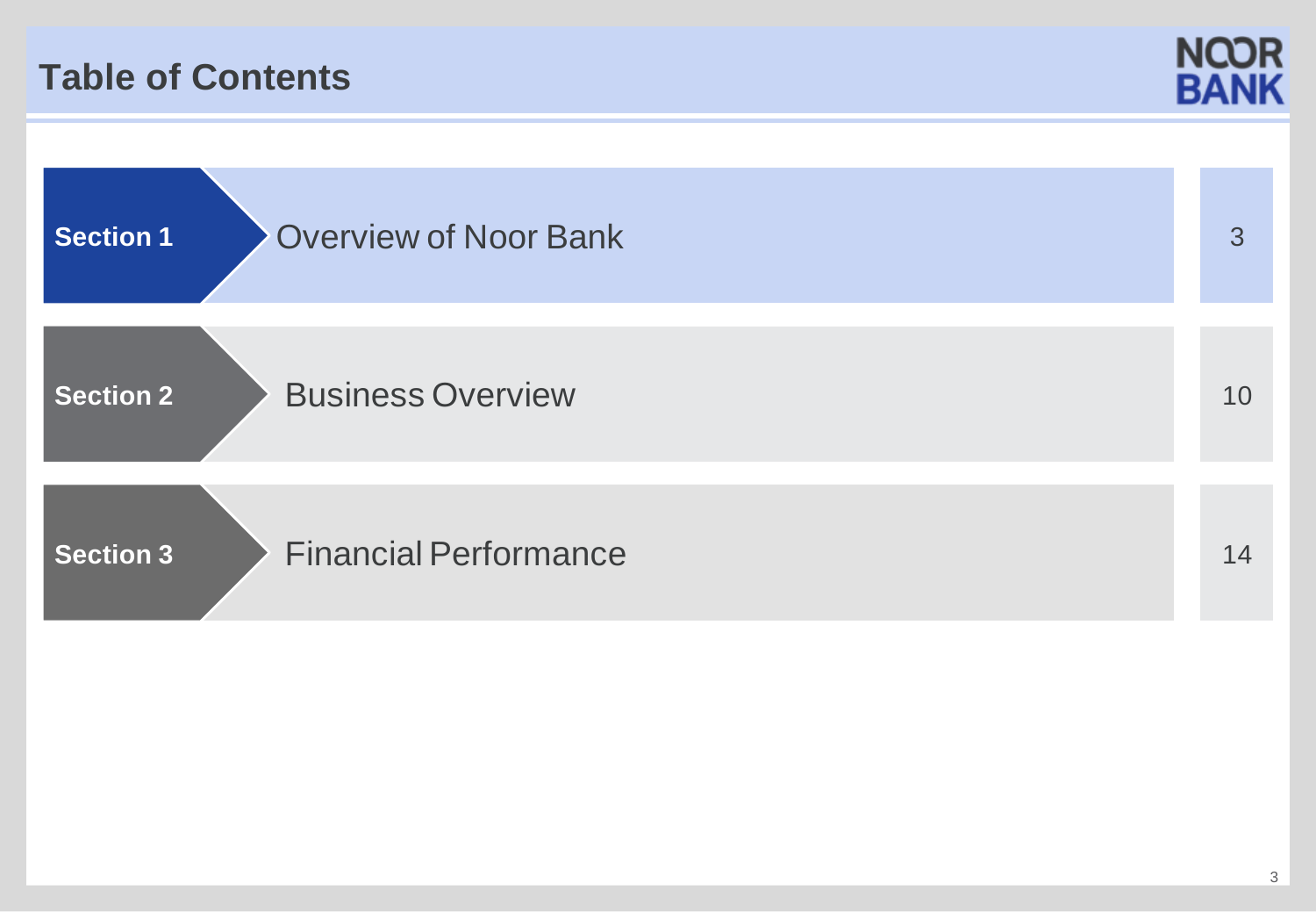## **Table of Contents**



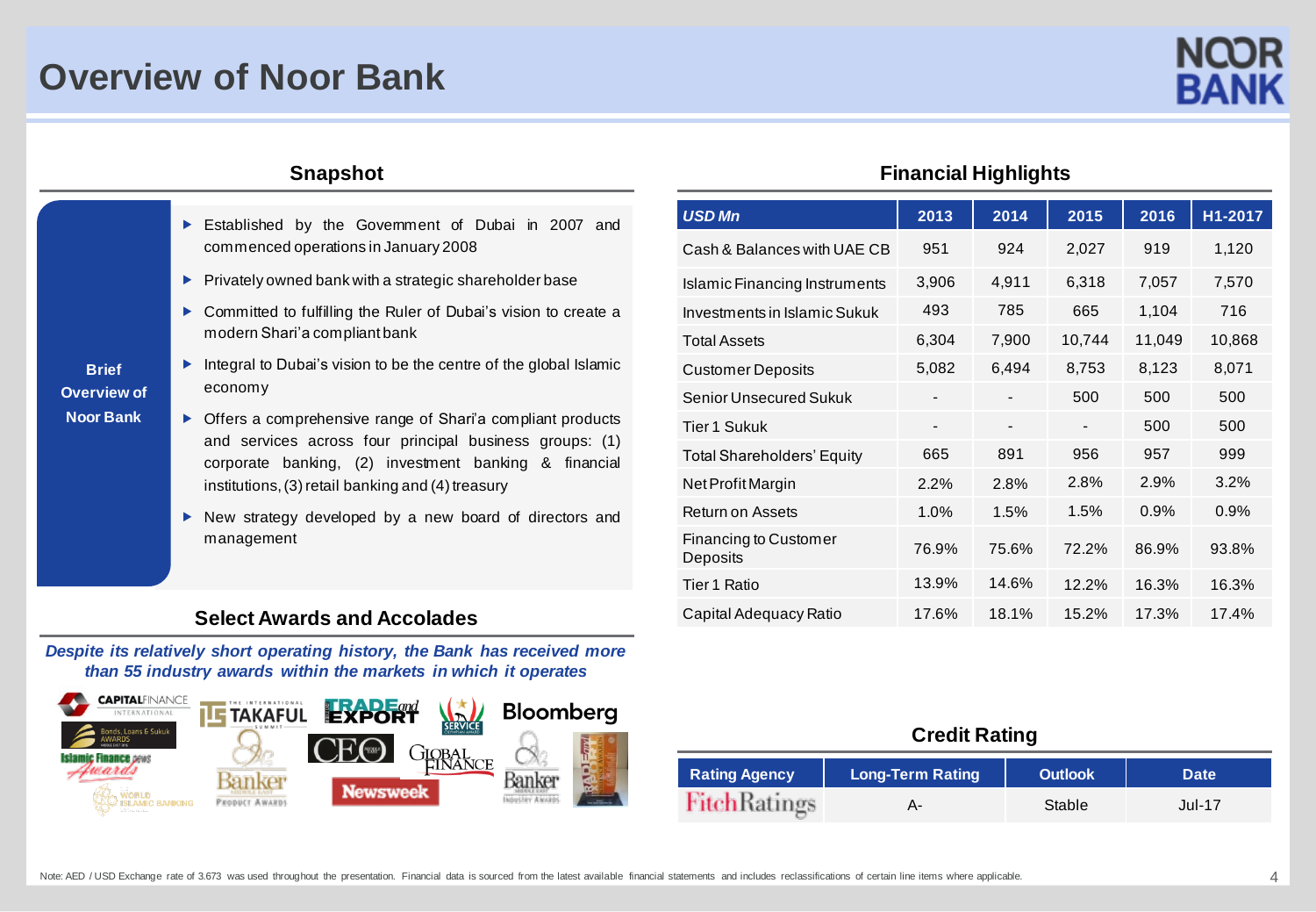## **Overview of Noor Bank**

- Established by the Govemment of Dubai in 2007 and commenced operations in January 2008
	- $\blacktriangleright$  Privately owned bank with a strategic shareholder base
	- ▶ Committed to fulfilling the Ruler of Dubai's vision to create a modern Shari'a compliant bank
- **Brief Overview of Noor Bank**
- Integral to Dubai's vision to be the centre of the global Islamic economy
- ▶ Offers a comprehensive range of Shari'a compliant products and services across four principal business groups: (1) corporate banking, (2) investment banking & financial institutions, (3) retail banking and (4) treasury
- ▶ New strategy developed by a new board of directors and management

#### **Select Awards and Accolades**

*Despite its relatively short operating history, the Bank has received more than 55 industry awards within the markets in which it operates*



#### **Snapshot Financial Highlights**

|       |       |                          |        | H1-2017 |
|-------|-------|--------------------------|--------|---------|
| 951   | 924   | 2,027                    | 919    | 1,120   |
| 3,906 | 4,911 | 6,318                    | 7,057  | 7,570   |
| 493   | 785   | 665                      | 1,104  | 716     |
| 6,304 | 7,900 | 10,744                   | 11,049 | 10,868  |
| 5,082 | 6,494 | 8,753                    | 8,123  | 8,071   |
|       |       | 500                      | 500    | 500     |
| -     |       | $\overline{\phantom{a}}$ | 500    | 500     |
| 665   | 891   | 956                      | 957    | 999     |
| 2.2%  | 2.8%  | 2.8%                     | 2.9%   | 3.2%    |
| 1.0%  | 1.5%  | 1.5%                     | 0.9%   | 0.9%    |
| 76.9% | 75.6% | 72.2%                    | 86.9%  | 93.8%   |
| 13.9% | 14.6% | 12.2%                    | 16.3%  | 16.3%   |
| 17.6% | 18.1% | 15.2%                    | 17.3%  | 17.4%   |
|       | 2013  | 2014                     | 2015   | 2016    |

#### **Credit Rating**

| <b>Rating Agency</b> | <b>Long-Term Rating</b> | <b>Outlook</b> | <b>Date</b>   |
|----------------------|-------------------------|----------------|---------------|
| <b>FitchRatings</b>  |                         | Stable         | <b>Jul-17</b> |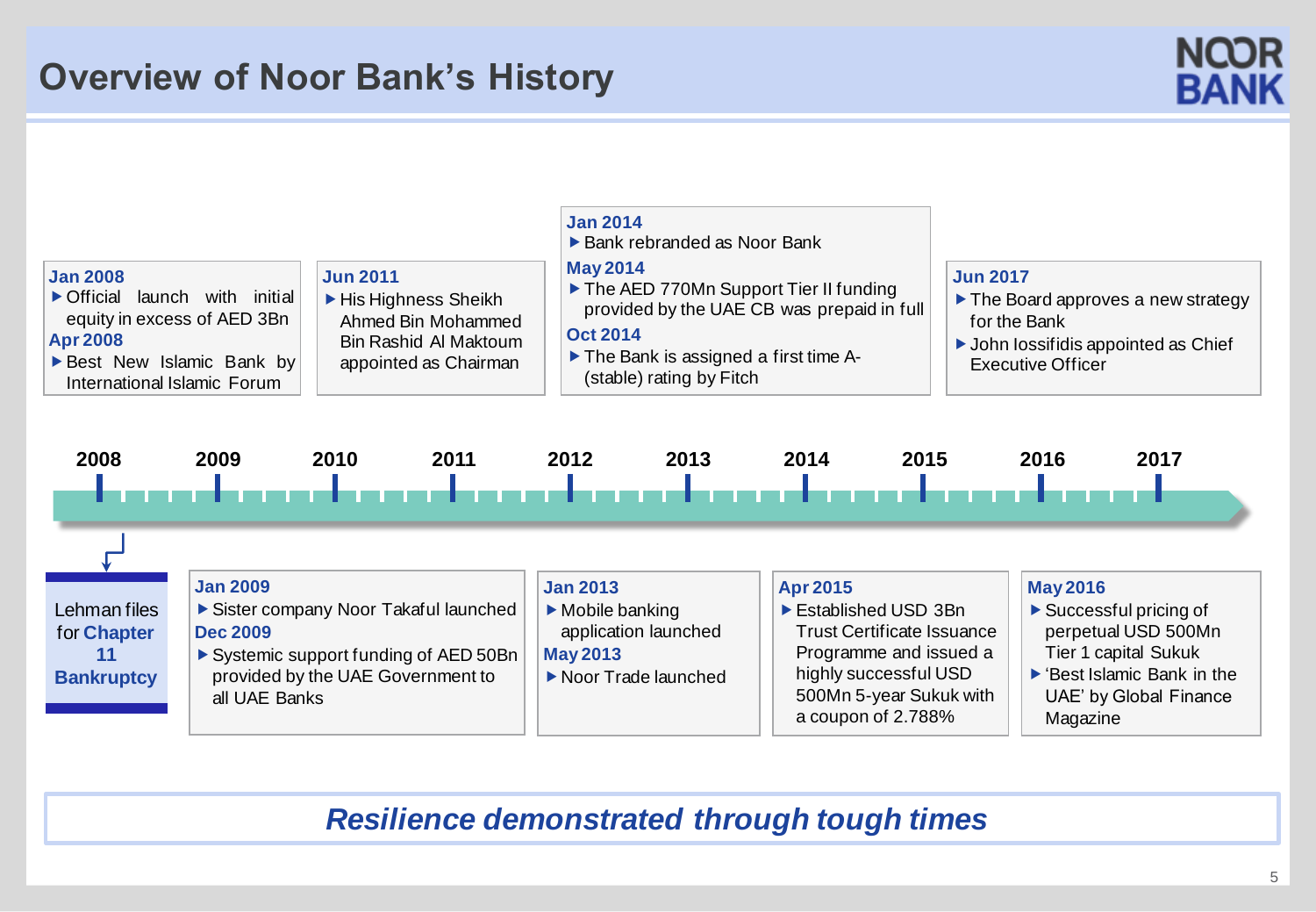## **Overview of Noor Bank's History**





*Resilience demonstrated through tough times*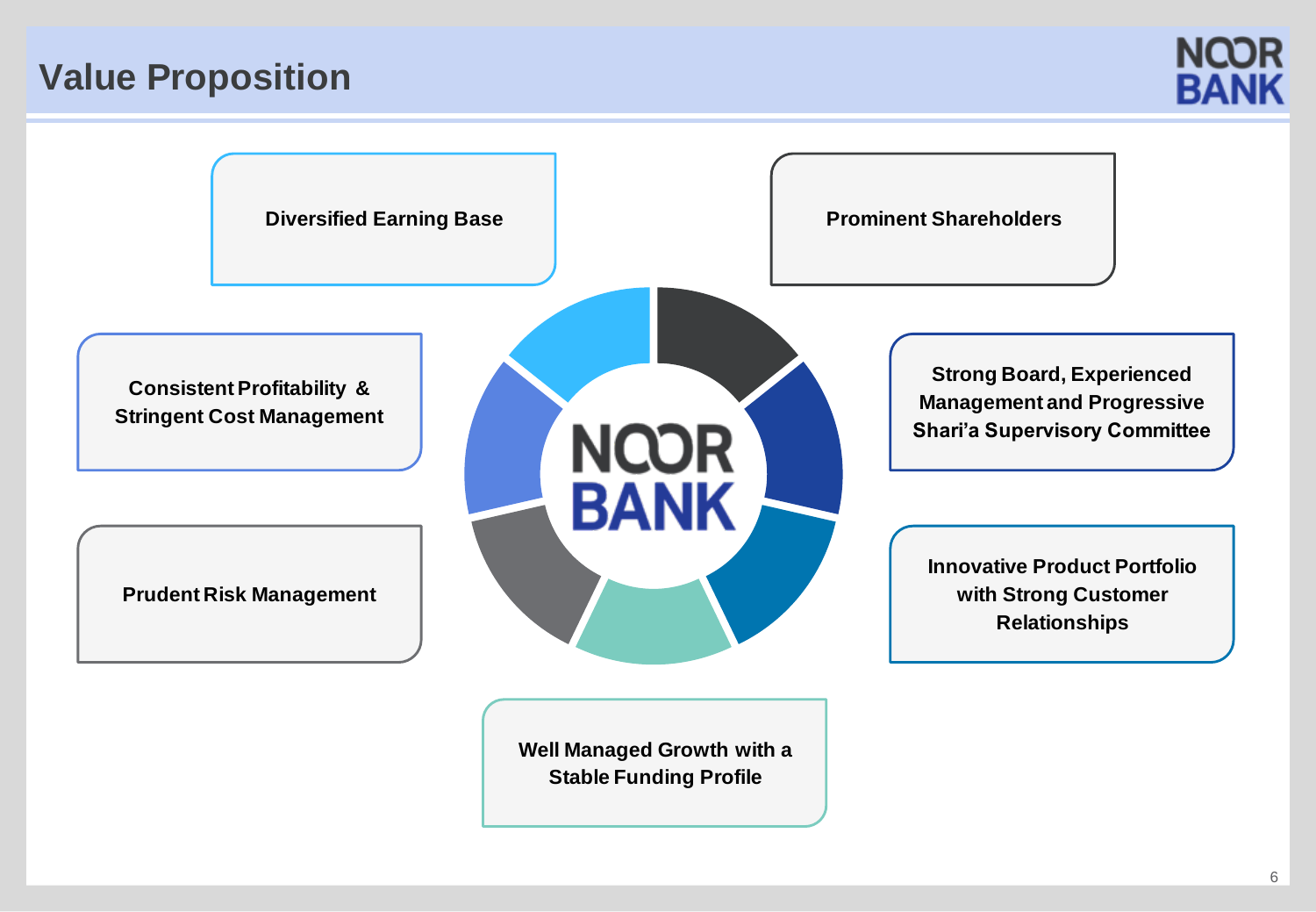## **Value Proposition**



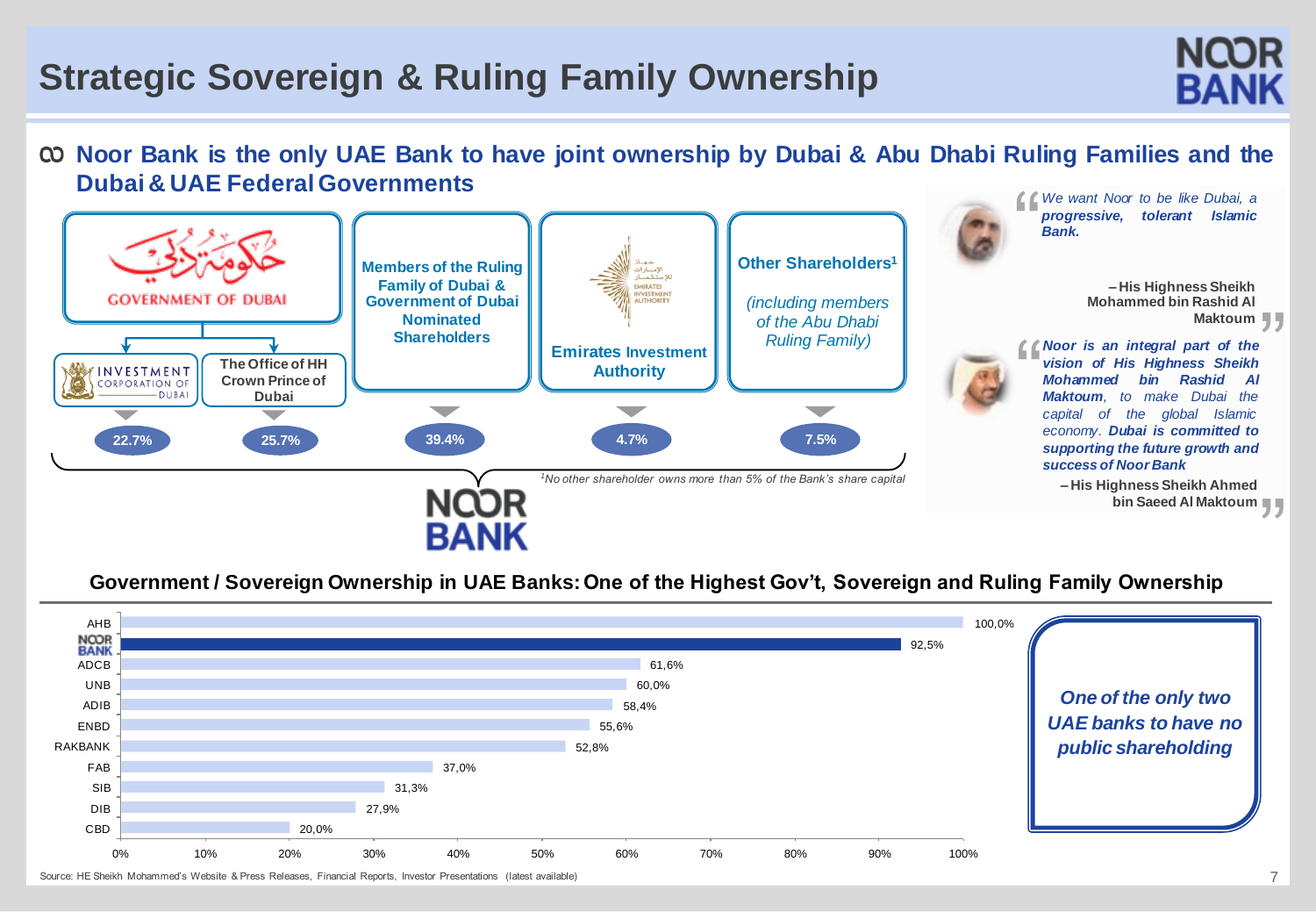# **Strategic Sovereign & Ruling Family Ownership**

### © Noor Bank is the only UAE Bank to have joint ownership by Dubai & Abu Dhabi Ruling Families and the **Dubai & UAE FederalGovernments**



#### **Government / Sovereign Ownership in UAE Banks: One of the Highest Gov't, Sovereign and Ruling Family Ownership**

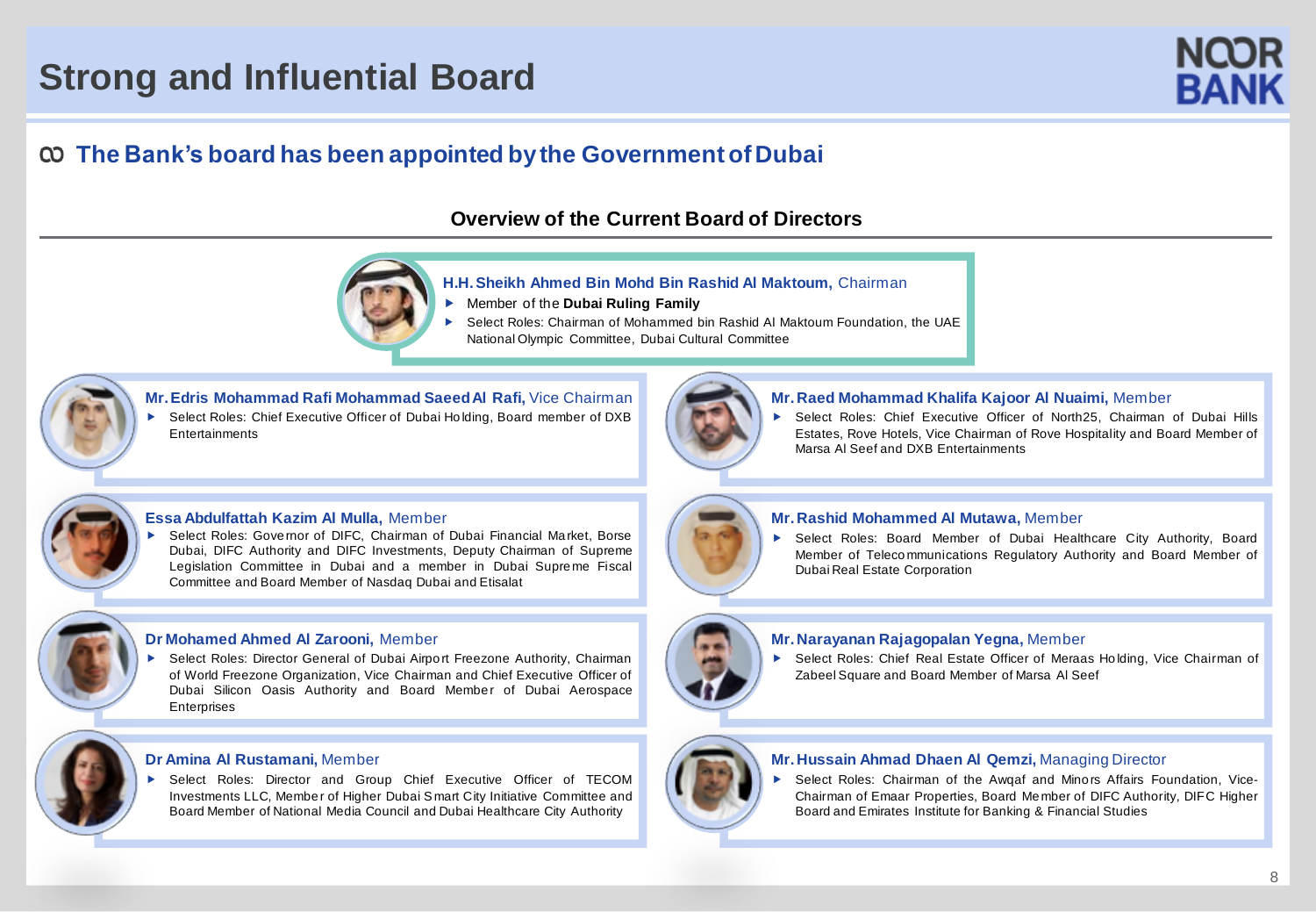# **Strong and Influential Board**



## **The Bank's board has been appointed bythe Government ofDubai**

#### **Overview of the Current Board of Directors**



#### **H.H. Sheikh Ahmed Bin Mohd Bin Rashid Al Maktoum,** Chairman

- Member of the **Dubai Ruling Family**
- Select Roles: Chairman of Mohammed bin Rashid Al Maktoum Foundation, the UAE National Olympic Committee, Dubai Cultural Committee

**Mr. Edris Mohammad Rafi Mohammad Saeed Al Rafi,** Vice Chairman Select Roles: Chief Executive Officer of Dubai Ho lding, Board member of DXB **Entertainments** 



#### **Mr. Raed Mohammad Khalifa Kajoor Al Nuaimi,** Member

▶ Select Roles: Chief Executive Officer of North25, Chairman of Dubai Hills Estates, Rove Hotels, Vice Chairman of Rove Hospitality and Board Member of Marsa Al Seef and DXB Entertainments



#### **Essa Abdulfattah Kazim Al Mulla,** Member

 Select Roles: Gove rnor of DIFC, Chairman of Dubai Financial Ma rket, Borse Dubai, DIFC Authority and DIFC Investments, Deputy Chairman of Supreme Legislation Committee in Dubai and a member in Dubai Supre me Fiscal Committee and Board Member of Nasdaq Dubai and Etisalat



- 
- Select Roles: Director General of Dubai Airport Freezone Authority, Chairman of World Freezone Organization, Vice Chairman and Chief Executive Officer of Dubai Silicon Oasis Authority and Board Member of Dubai Aerospace **Enterprises**

#### **Dr Amina Al Rustamani,** Member

 Select Roles: Director and Group Chief Executive Officer of TECOM Investments LLC, Membe r of Higher Dubai Smart City Initiative Committee and Board Member of National Media Council and Dubai Healthcare City Authority



#### **Mr. Rashid Mohammed Al Mutawa,** Member

 Select Roles: Board Member of Dubai Healthcare City Authority, Board Member of Teleco mmunications Regulatory Authority and Board Member of Dubai Real Estate Corporation



#### **Mr.Narayanan Rajagopalan Yegna,** Member

▶ Select Roles: Chief Real Estate Officer of Meraas Holding, Vice Chairman of Zabeel Square and Board Member of Marsa Al Seef



#### **Mr. Hussain Ahmad Dhaen Al Qemzi,** Managing Director

 Select Roles: Chairman of the Awqaf and Mino rs Affairs Foundation, Vice-Chairman of Emaar Properties, Board Me mber of DIFC Authority, DIFC Higher Board and Emirates Institute for Banking & Financial Studies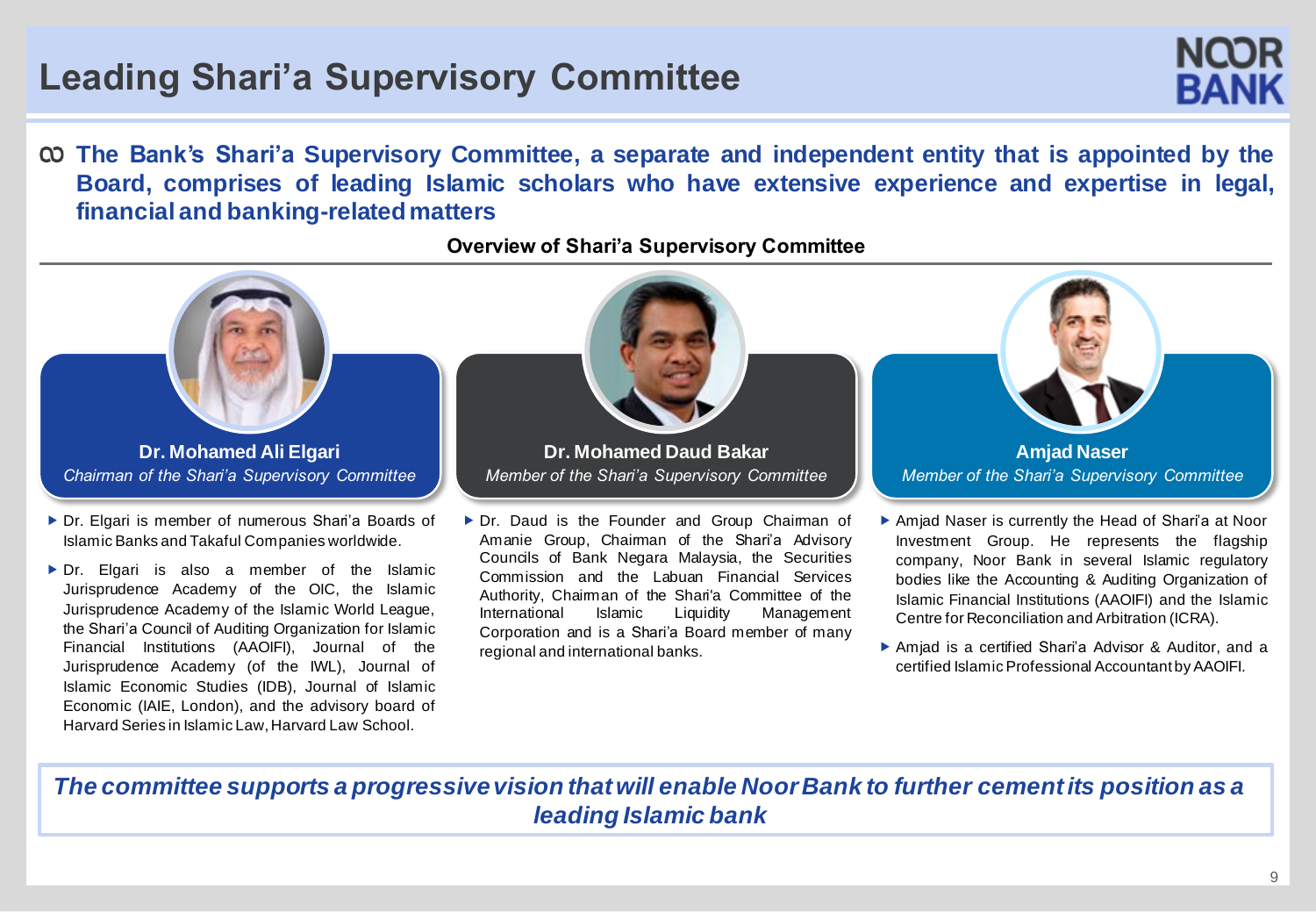# **Leading Shari'a Supervisory Committee**

**The Bank's Shari'a Supervisory Committee, a separate and independent entity that is appointed by the Board, comprises of leading Islamic scholars who have extensive experience and expertise in legal, financial and banking-relatedmatters**

#### Dr. Daud is the Founder and Group Chaiman of Amanie Group, Chairman of the Shari'a Advisory **Dr. Mohamed Daud Bakar** *Member of the Shari'a Supervisory Committee* ▶ Dr. Elgari is member of numerous Shari'a Boards of Islamic Banks and Takaful Companies worldwide. **Dr. Mohamed Ali Elgari** *Chairman of the Shari'a Supervisory Committee* Amjad Naser is currently the Head of Shari'a at Noor **Amjad Naser** *Member of the Shari'a Supervisory Committee*

Dr. Elgari is also a member of the Islamic Jurisprudence Academy of the OIC, the Islamic Jurisprudence Academy of the Islamic World League, the Shari'a Council of Auditing Organization for Islamic Financial Institutions (AAOIFI), Journal of the Jurisprudence Academy (of the IWL), Journal of Islamic Economic Studies (IDB), Journal of Islamic Economic (IAIE, London), and the advisory board of Harvard Series in Islamic Law,Harvard Law School.

#### **Overview of Shari'a Supervisory Committee**

- Councils of Bank Negara Malaysia, the Securities Commission and the Labuan Financial Services Authority, Chairman of the Shari'a Committee of the International Islamic Liquidity Management Corporation and is a Shari'a Board member of many regional and international banks.
- Investment Group. He represents the flagship company, Noor Bank in several Islamic regulatory bodies like the Accounting & Auditing Organization of Islamic Financial Institutions (AAOIFI) and the Islamic Centre for Reconciliation and Arbitration (ICRA).
- Amjad is a certified Shari'a Advisor & Auditor, and a certified Islamic Professional Accountant byAAOIFI.

*The committee supports a progressive vision that will enable Noor Bank to further cement its position as a leading Islamic bank*

NQOR RANK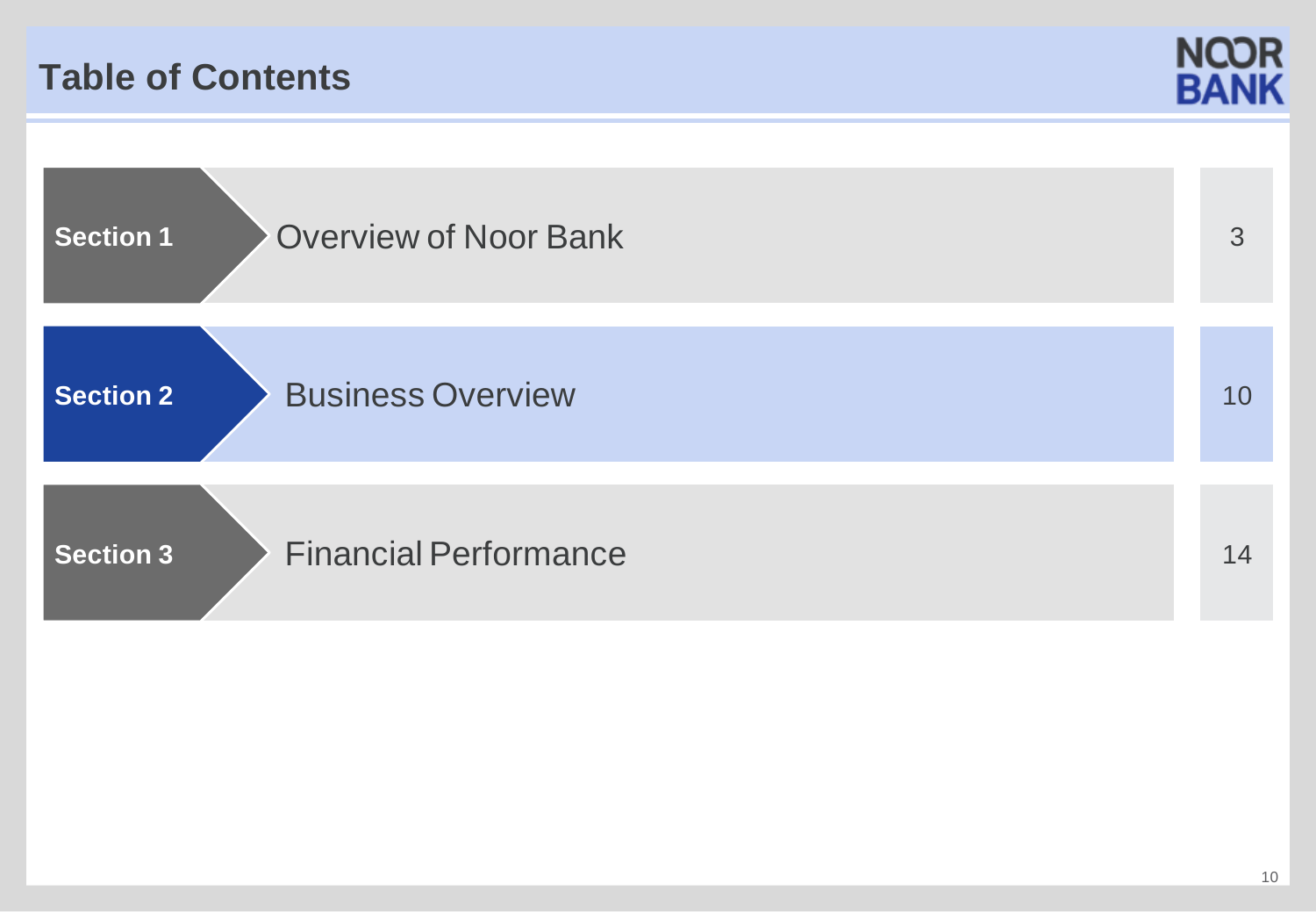## **Table of Contents**



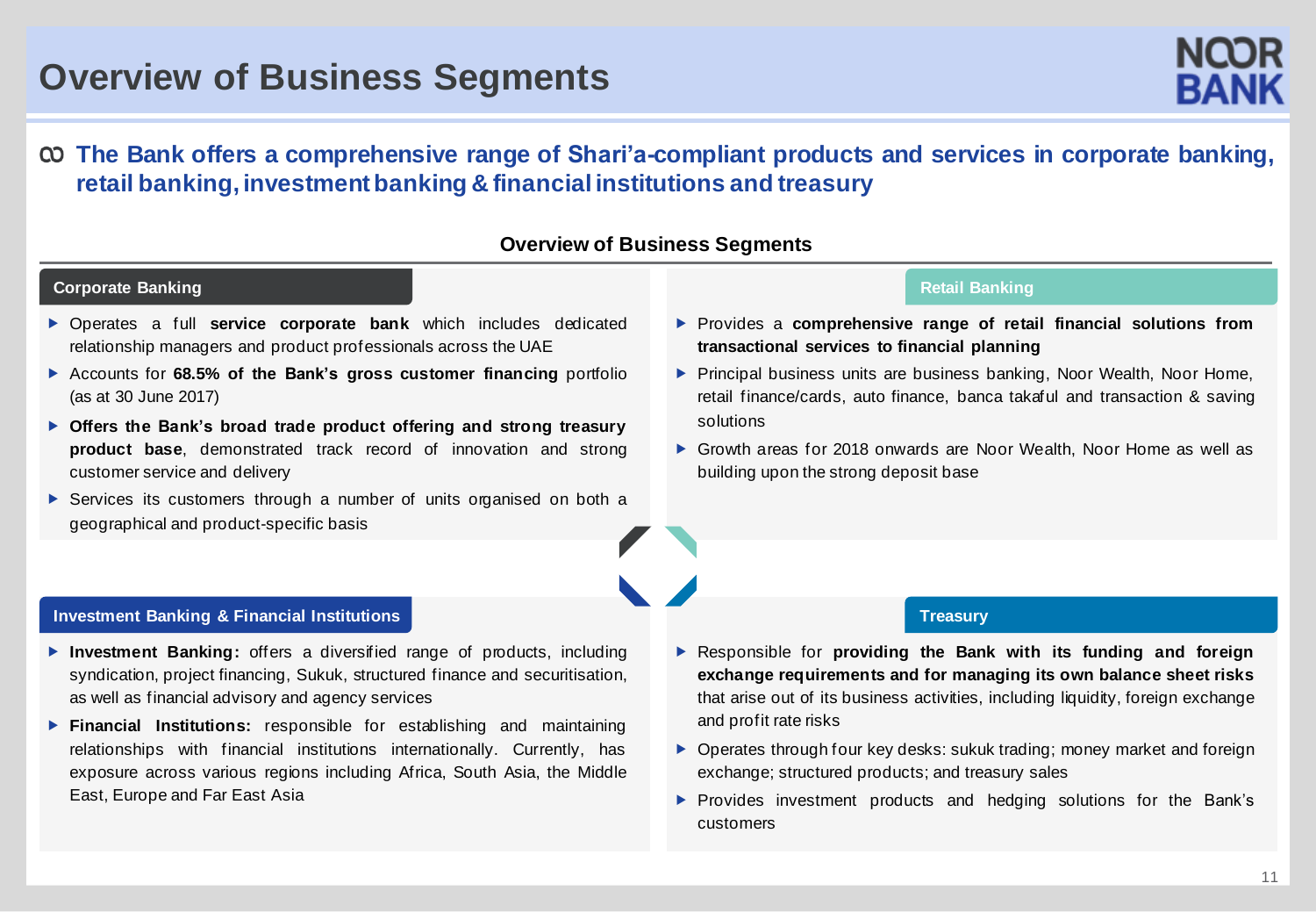## **Overview of Business Segments**

#### **The Bank offers a comprehensive range of Shari'a-compliant products and services in corporate banking, retail banking, investmentbanking & financial institutions and treasury**

#### **Overview of Business Segments**

#### **Corporate Banking**

#### **Retail Banking**

- Operates a full **service corporate bank** which includes dedicated relationship managers and product professionals across the UAE
- Accounts for **68.5% of the Bank's gross customer financing** portfolio (as at 30 June 2017)
- **Offers the Bank's broad trade product offering and strong treasury product base**, demonstrated track record of innovation and strong customer service and delivery
- ▶ Services its customers through a number of units organised on both a geographical and product-specific basis
- Provides a **comprehensive range of retail financial solutions from transactional services to financial planning**
- **Principal business units are business banking, Noor Wealth, Noor Home,** retail finance/cards, auto finance, banca takaful and transaction & saving solutions
- Growth areas for 2018 onwards are Noor Wealth, Noor Home as well as building upon the strong deposit base

#### **Investment Banking & Financial Institutions**

- **Investment Banking:** offers a diversified range of products, including syndication, project financing, Sukuk, structured finance and securitisation, as well as financial advisory and agency services
- **Financial Institutions:** responsible for establishing and maintaining relationships with financial institutions internationally. Currently, has exposure across various regions including Africa, South Asia, the Middle East, Europe and Far East Asia
- Responsible for **providing the Bank with its funding and foreign exchange requirements and for managing its own balance sheet risks** that arise out of its business activities, including liquidity, foreign exchange and profit rate risks

**Treasury**

- ▶ Operates through four key desks: sukuk trading; money market and foreign exchange; structured products; and treasury sales
- **Provides investment products and hedging solutions for the Bank's** customers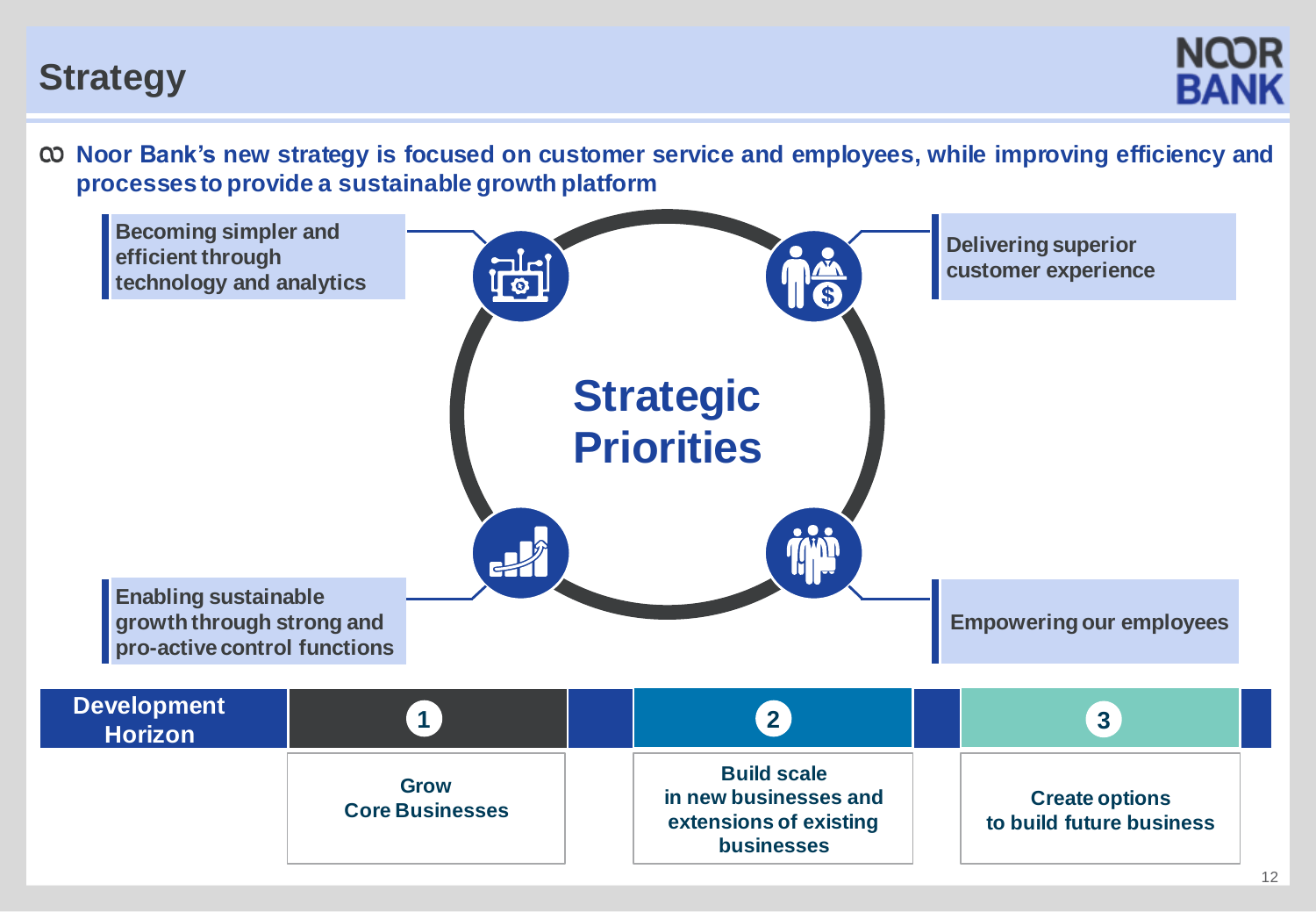## **Strategy**

**NCOR BANK** 

**Noor Bank's new strategy is focused on customer service and employees, while improving efficiency and processes to provide a sustainable growth platform**

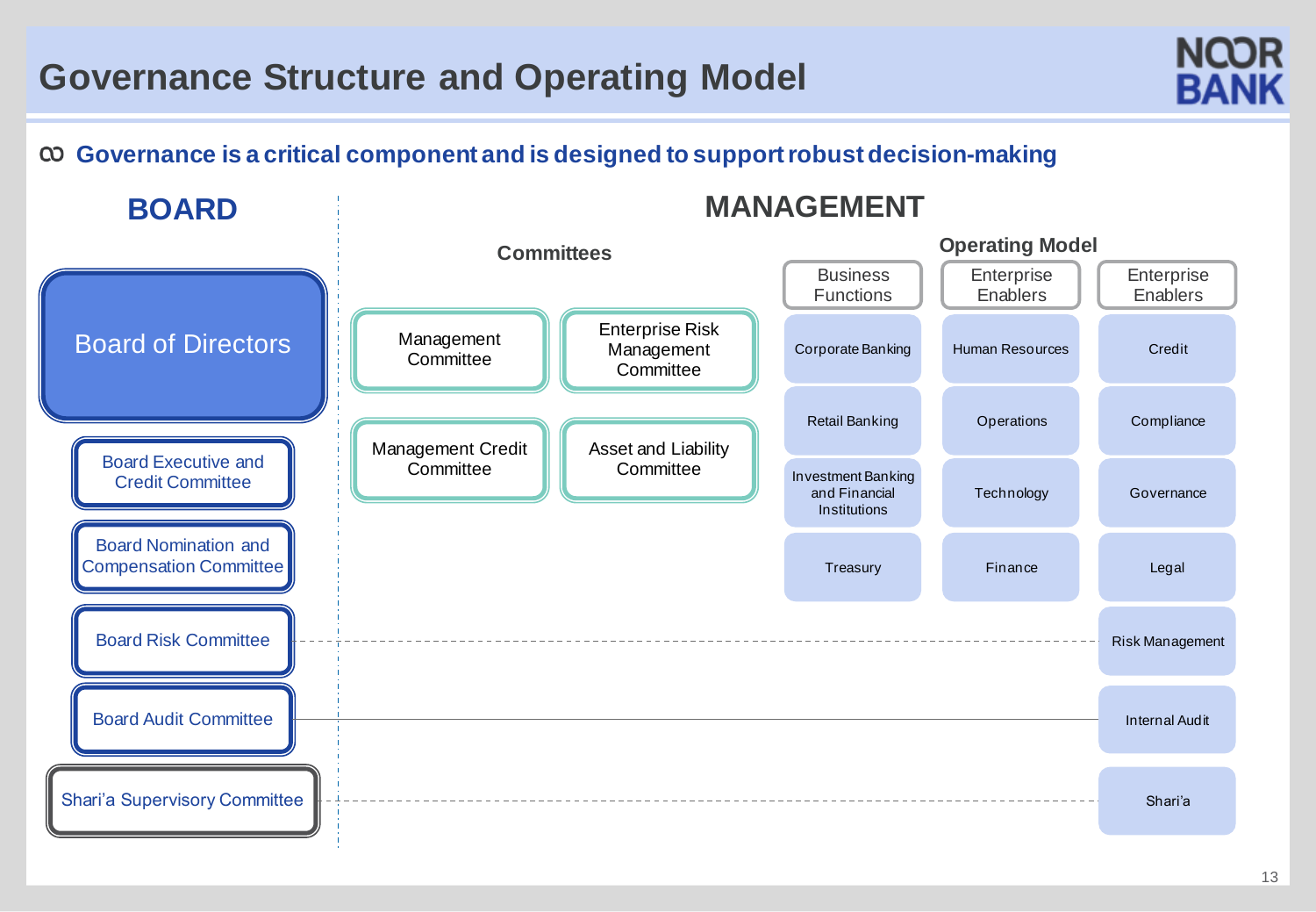# **Governance Structure and Operating Model**



## **Governance is a critical component and is designed to supportrobustdecision-making**

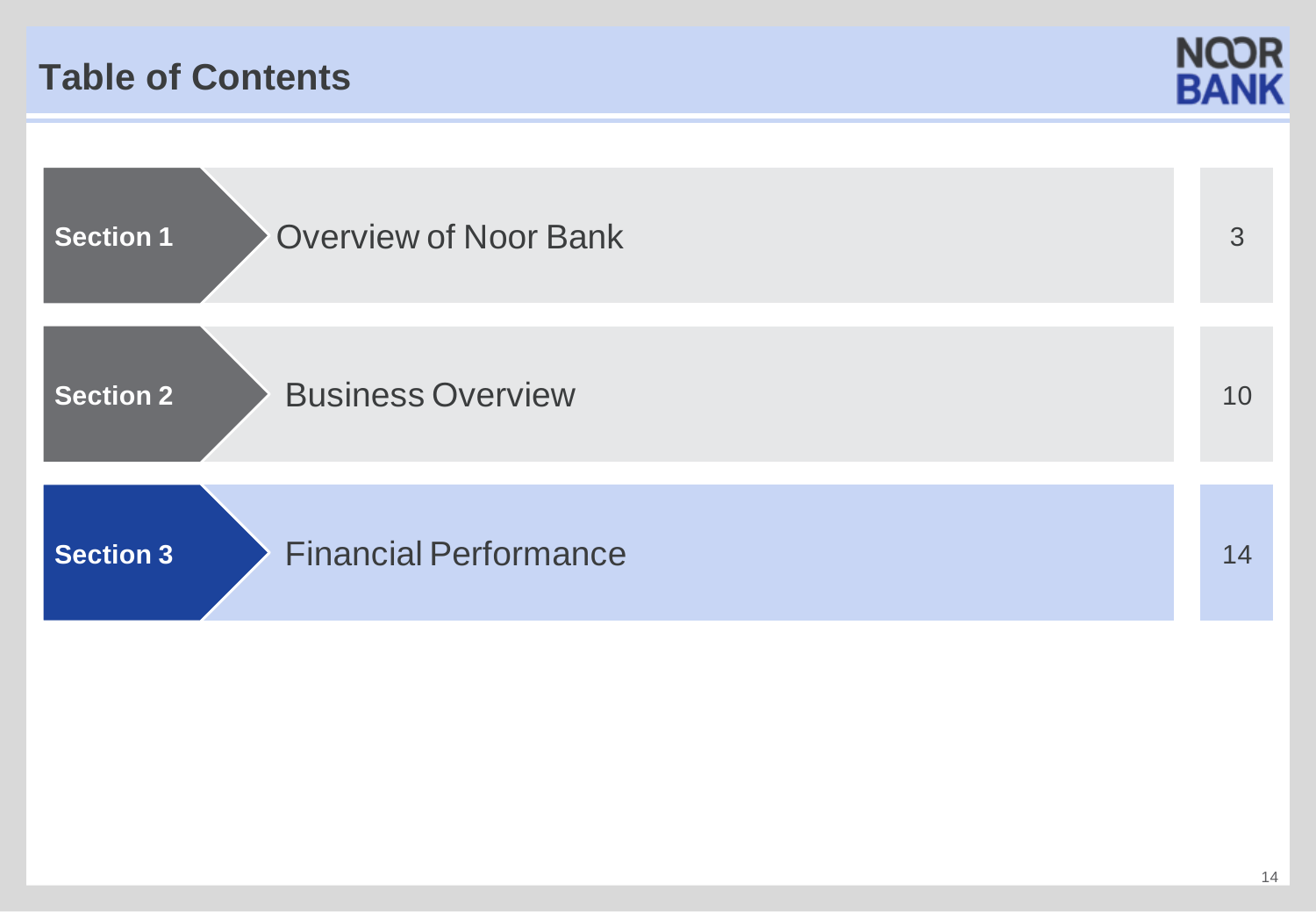## **Table of Contents**



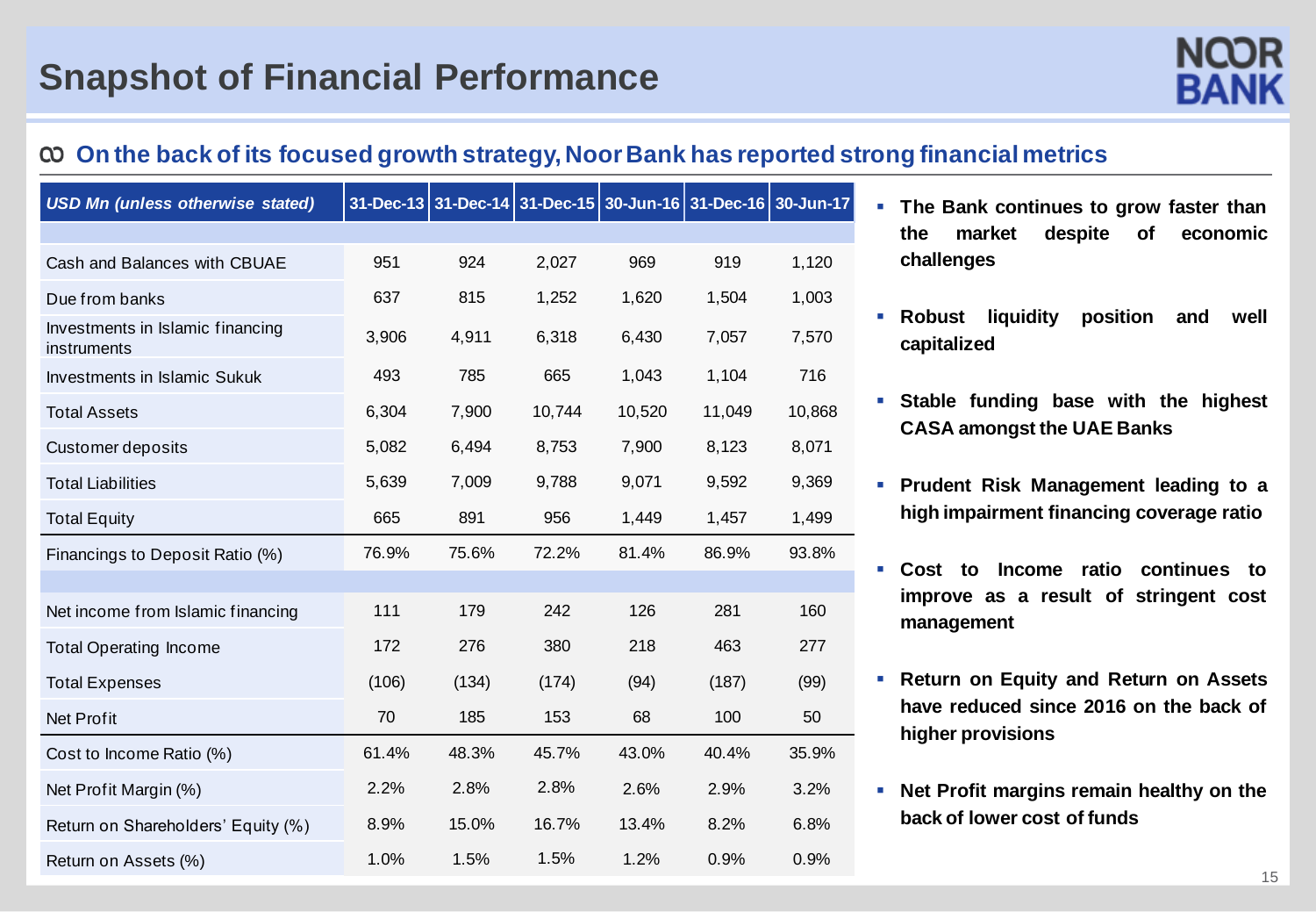## **On the back of its focused growth strategy, NoorBank has reported strong financial metrics**

| <b>USD Mn (unless otherwise stated)</b>         |       |       | 31-Dec-13 31-Dec-14 31-Dec-15 30-Jun-16 31-Dec-16 30-Jun-17 |        |        |        |
|-------------------------------------------------|-------|-------|-------------------------------------------------------------|--------|--------|--------|
|                                                 |       |       |                                                             |        |        |        |
| Cash and Balances with CBUAE                    | 951   | 924   | 2,027                                                       | 969    | 919    | 1,120  |
| Due from banks                                  | 637   | 815   | 1,252                                                       | 1,620  | 1,504  | 1,003  |
| Investments in Islamic financing<br>instruments | 3,906 | 4,911 | 6,318                                                       | 6,430  | 7,057  | 7,570  |
| Investments in Islamic Sukuk                    | 493   | 785   | 665                                                         | 1,043  | 1,104  | 716    |
| <b>Total Assets</b>                             | 6,304 | 7,900 | 10,744                                                      | 10,520 | 11,049 | 10,868 |
| <b>Customer deposits</b>                        | 5,082 | 6,494 | 8,753                                                       | 7,900  | 8,123  | 8,071  |
| <b>Total Liabilities</b>                        | 5,639 | 7,009 | 9,788                                                       | 9,071  | 9,592  | 9,369  |
| <b>Total Equity</b>                             | 665   | 891   | 956                                                         | 1,449  | 1,457  | 1,499  |
| Financings to Deposit Ratio (%)                 | 76.9% | 75.6% | 72.2%                                                       | 81.4%  | 86.9%  | 93.8%  |
|                                                 |       |       |                                                             |        |        |        |
| Net income from Islamic financing               | 111   | 179   | 242                                                         | 126    | 281    | 160    |
| <b>Total Operating Income</b>                   | 172   | 276   | 380                                                         | 218    | 463    | 277    |
| <b>Total Expenses</b>                           | (106) | (134) | (174)                                                       | (94)   | (187)  | (99)   |
| <b>Net Profit</b>                               | 70    | 185   | 153                                                         | 68     | 100    | 50     |
| Cost to Income Ratio (%)                        | 61.4% | 48.3% | 45.7%                                                       | 43.0%  | 40.4%  | 35.9%  |
| Net Profit Margin (%)                           | 2.2%  | 2.8%  | 2.8%                                                        | 2.6%   | 2.9%   | 3.2%   |
| Return on Shareholders' Equity (%)              | 8.9%  | 15.0% | 16.7%                                                       | 13.4%  | 8.2%   | 6.8%   |
| Return on Assets (%)                            | 1.0%  | 1.5%  | 1.5%                                                        | 1.2%   | 0.9%   | 0.9%   |

- **The Bank continues to grow faster than the market despite of economic challenges**
- **Robust liquidity position and well capitalized**
- **Stable funding base with the highest CASA amongst the UAE Banks**
- **Prudent Risk Management leading to a high impairment financing coverage ratio**
- **Cost to Income ratio continues to improve as a result of stringent cost management**
- **Return on Equity and Return on Assets have reduced since 2016 on the back of higher provisions**
- **Net Profit margins remain healthy on the back of lower cost of funds**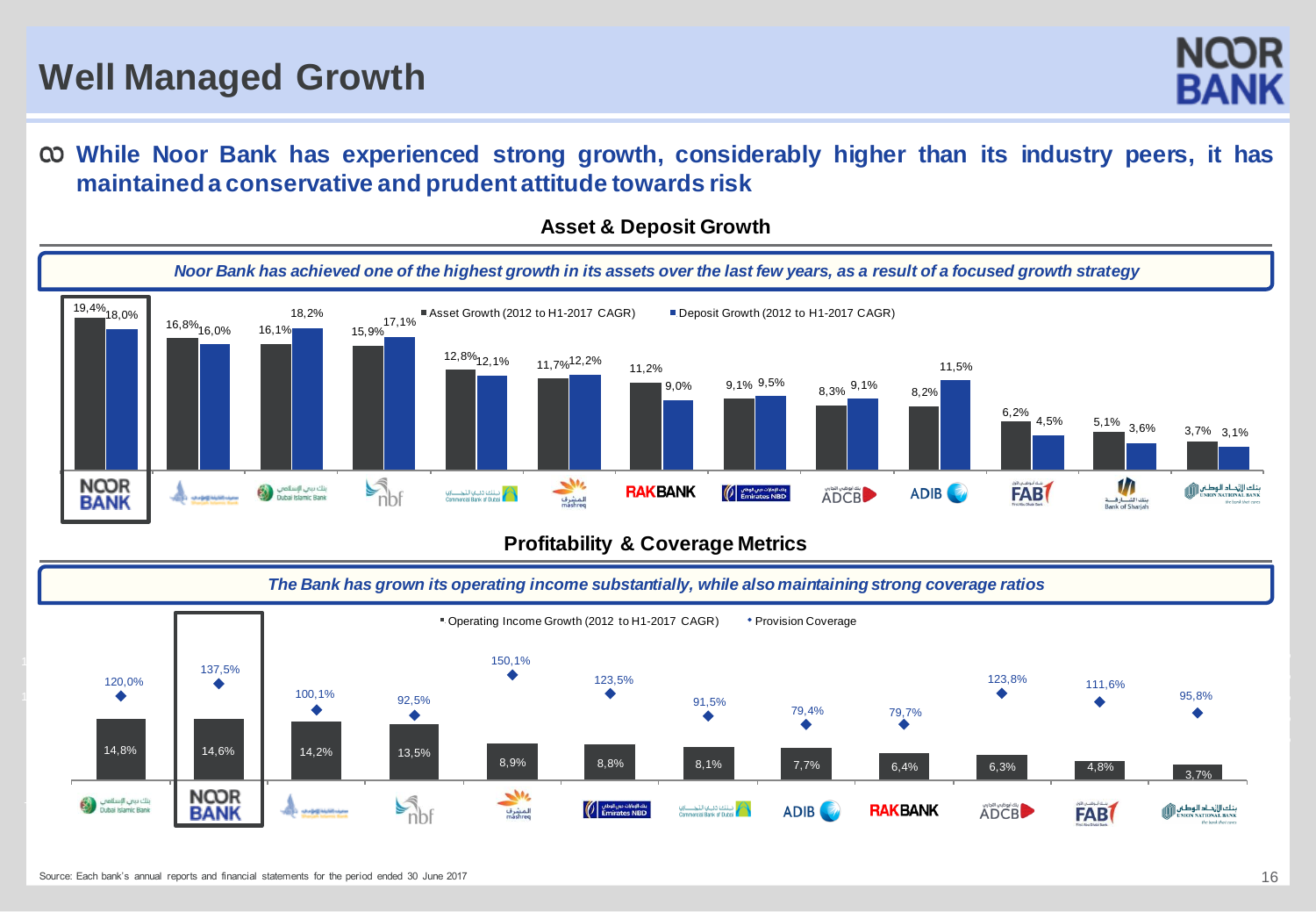#### **While Noor Bank has experienced strong growth, considerably higher than its industry peers, it has maintaineda conservative and prudent attitude towards risk**



#### **Asset & Deposit Growth**

#### **Profitability & Coverage Metrics**

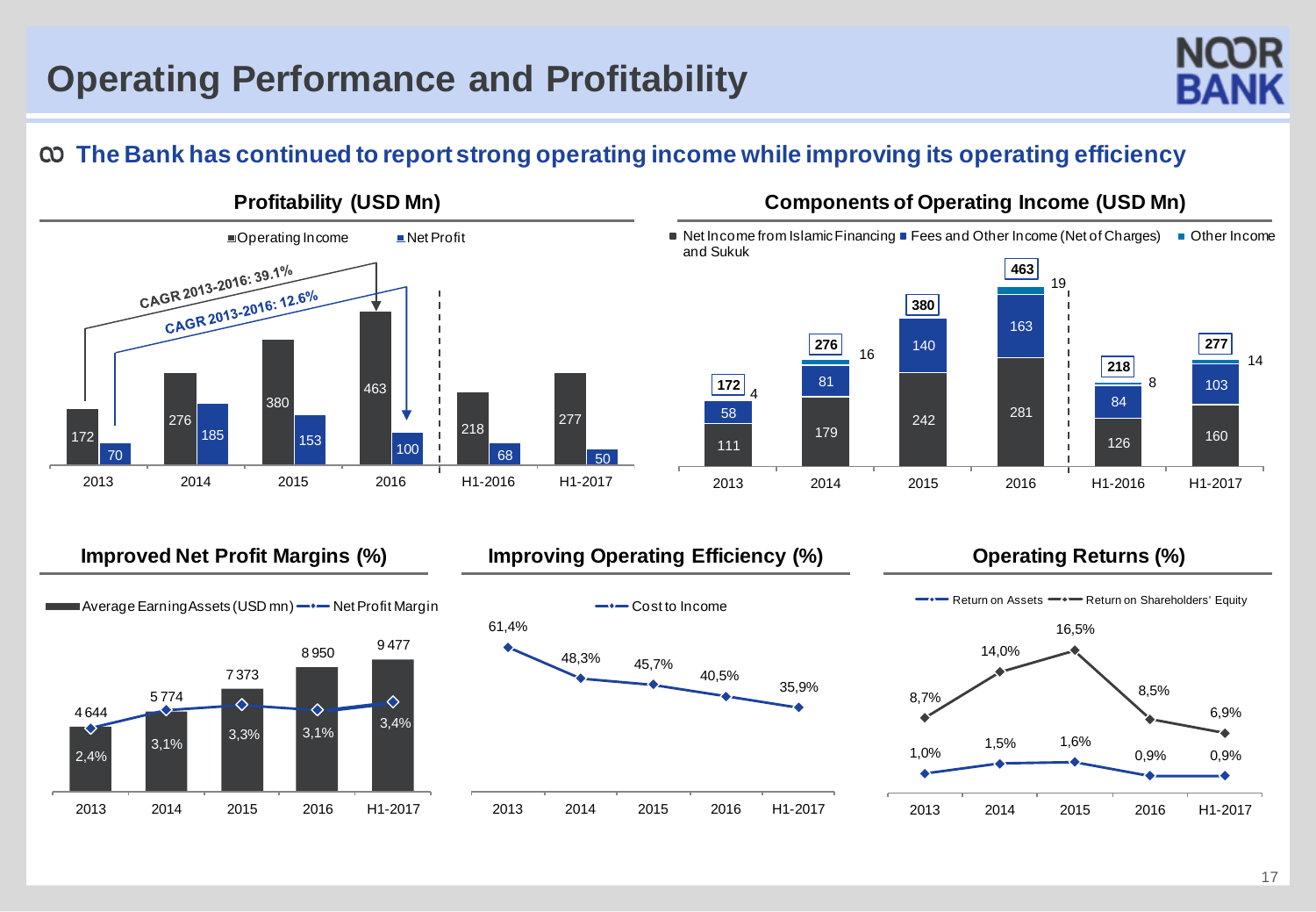

## **The Bank has continued to report strong operating income while improving its operating efficiency**



#### **Profitability (USD Mn) Components of Operating Income (USD Mn)**

Net Income from Islamic Financing  $\blacksquare$  Fees and Other Income (Net of Charges)  $\blacksquare$  Other Income and Sukuk





#### **Improved Net Profit Margins (%) limproving Operating Efficiency (%) Converting Returns (%)**



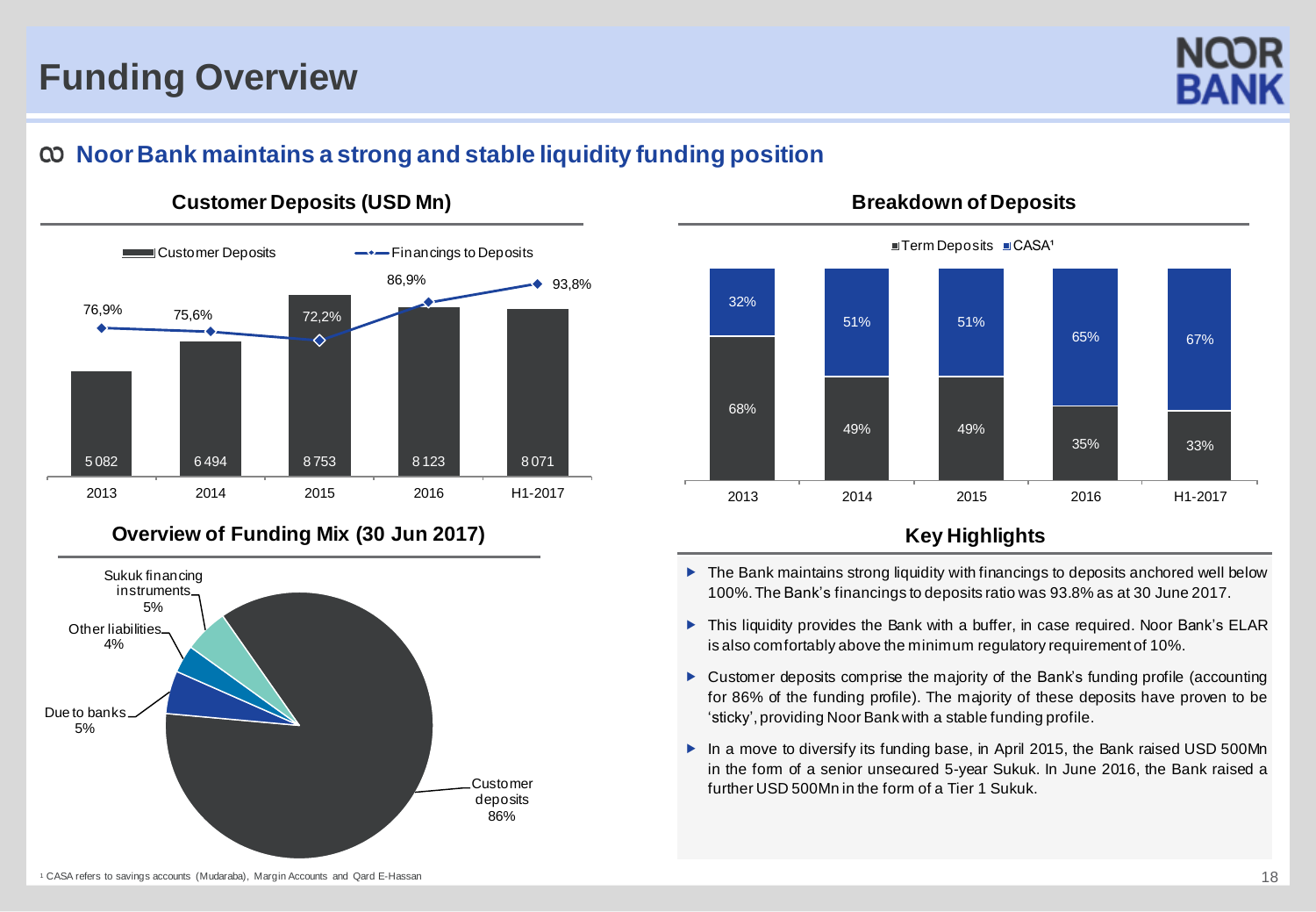# **Funding Overview**



#### **NoorBank maintains a strong and stable liquidity funding position**



## **Customer Deposits (USD Mn)**



#### **Breakdown of Deposits**

 $\blacksquare$  Term Deposits  $\blacksquare$  CASA<sup>1</sup>

- $\blacktriangleright$  The Bank maintains strong liquidity with financings to deposits anchored well below 100%.The Bank's financings to deposits ratio was 93.8% as at 30 June 2017.
- ▶ This liquidity provides the Bank with a buffer, in case required. Noor Bank's ELAR is also comfortably above the minimum regulatory requirement of 10%.
- Customer deposits comprise the majority of the Bank's funding profile (accounting for 86% of the funding profile). The majority of these deposits have proven to be 'sticky', providing Noor Bank with a stable funding profile.
- ▶ In a move to diversify its funding base, in April 2015, the Bank raised USD 500Mn in the form of a senior unsecured 5-year Sukuk. In June 2016, the Bank raised a further USD 500Mn in the form of a Tier 1 Sukuk.

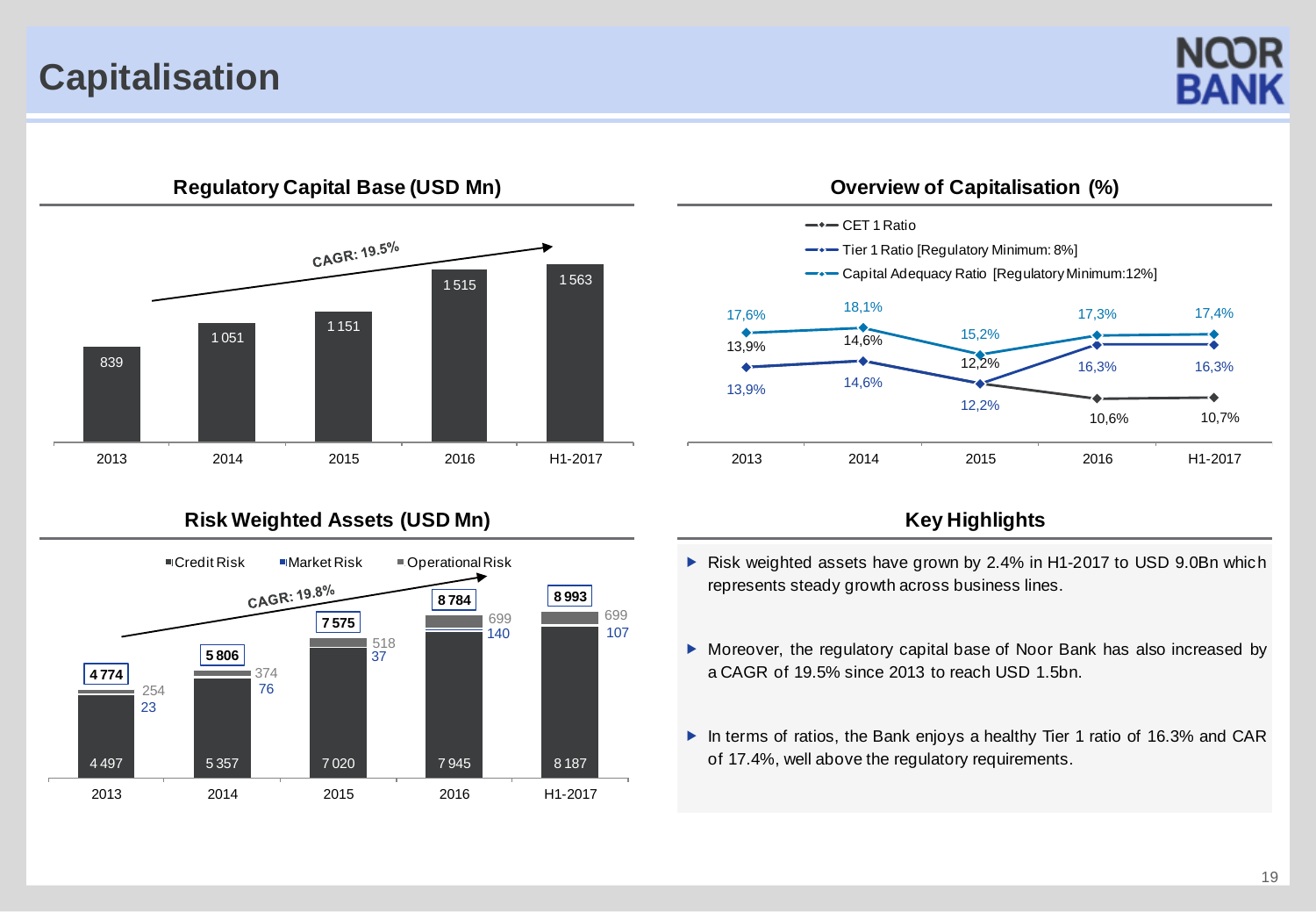## **Capitalisation**





#### Risk Weighted Assets (USD Mn) **Key Highlights** Key Highlights





- Risk weighted assets have grown by 2.4% in H1-2017 to USD 9.0Bn which represents steady growth across business lines.
- Moreover, the regulatory capital base of Noor Bank has also increased by a CAGR of 19.5% since 2013 to reach USD 1.5bn.
- ▶ In terms of ratios, the Bank enjoys a healthy Tier 1 ratio of 16.3% and CAR of 17.4%, well above the regulatory requirements.